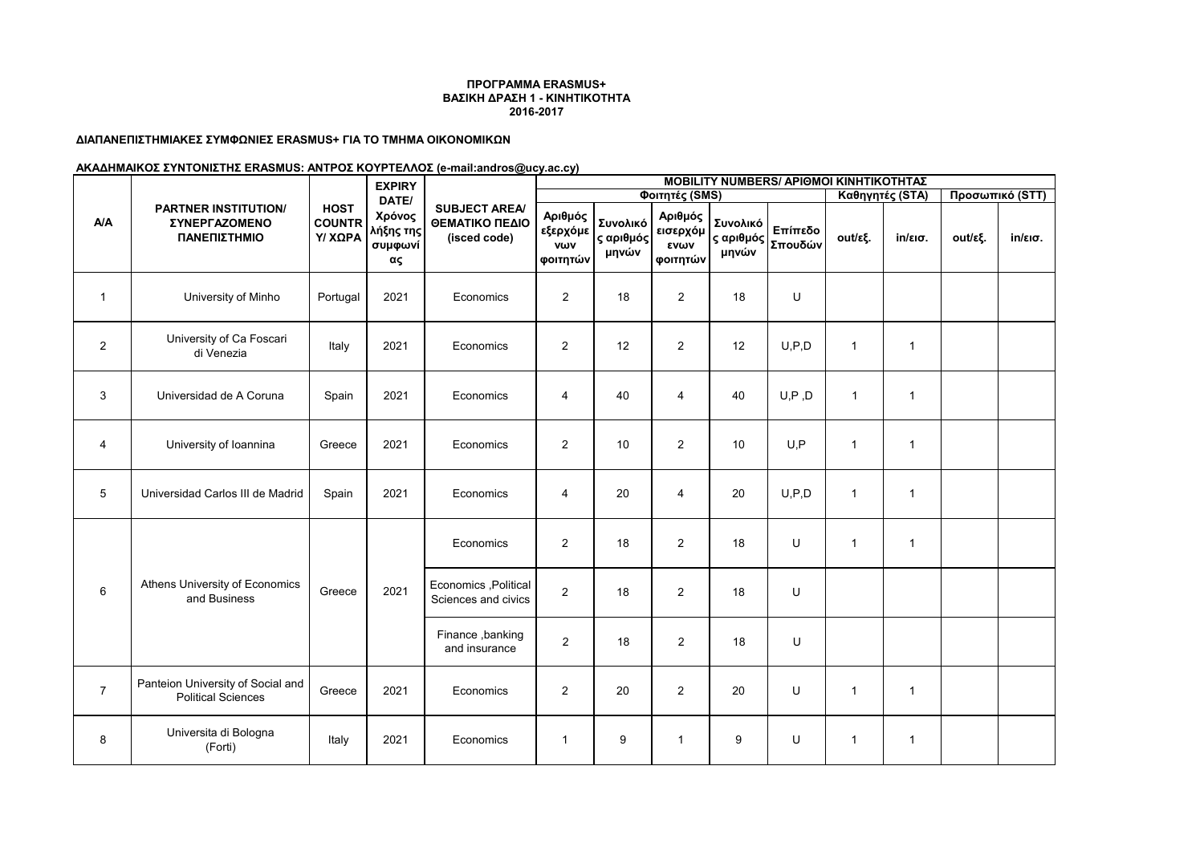## **ΔΙΑΠΑΝΕΠΙΣΤΗΜΙΑΚΕΣ ΣΥΜΦΩΝΙΕΣ ERASMUS+ ΓΙΑ ΤΟ ΤΜΗΜΑ ΟΙΚΟΝΟΜΙΚΩΝ**

|                |                                                                     |                                         | <b>EXPIRY</b><br>DATE/<br>Χρόνος<br>λήξης της<br>συμφωνί<br>ας | <b>SUBJECT AREA/</b><br>ΘΕΜΑΤΙΚΟ ΠΕΔΙΟ<br>(isced code) | <b>MOBILITY NUMBERS/ APIOMOI KINHTIKOTHTAZ</b> |                                |                                         |                                |                    |                |                   |         |                   |  |  |
|----------------|---------------------------------------------------------------------|-----------------------------------------|----------------------------------------------------------------|--------------------------------------------------------|------------------------------------------------|--------------------------------|-----------------------------------------|--------------------------------|--------------------|----------------|-------------------|---------|-------------------|--|--|
|                |                                                                     |                                         |                                                                |                                                        |                                                |                                | Φοιτητές (SMS)                          |                                | Καθηγητές (STA)    |                | Προσωπικό (STT)   |         |                   |  |  |
| A/A            | <b>PARTNER INSTITUTION/</b><br><b>ΣΥΝΕΡΓΑΖΟΜΕΝΟ</b><br>ΠΑΝΕΠΙΣΤΗΜΙΟ | <b>HOST</b><br><b>COUNTR</b><br>Υ/ ΧΩΡΑ |                                                                |                                                        | Αριθμός<br>εξερχόμε<br>νων<br>φοιτητών         | Συνολικό<br>ς αριθμός<br>μηνών | Αριθμός<br>εισερχόμ<br>ενων<br>φοιτητών | Συνολικό<br>ς αριθμός<br>μηνών | Επίπεδο<br>Σπουδών | out/εξ.        | $in/\epsilon$ ισ. | out/εξ. | $in/\epsilon$ ισ. |  |  |
| $\mathbf{1}$   | University of Minho                                                 | Portugal                                | 2021                                                           | Economics                                              | $\overline{2}$                                 | 18                             | $\overline{c}$                          | 18                             | U                  |                |                   |         |                   |  |  |
| $\overline{2}$ | University of Ca Foscari<br>di Venezia                              | Italy                                   | 2021                                                           | Economics                                              | $\overline{2}$                                 | 12                             | $\overline{c}$                          | 12                             | U, P, D            | $\mathbf{1}$   | $\mathbf{1}$      |         |                   |  |  |
| 3              | Universidad de A Coruna                                             | Spain                                   | 2021                                                           | Economics                                              | 4                                              | 40                             | $\overline{4}$                          | 40                             | U, P, D            | $\mathbf{1}$   | $\mathbf{1}$      |         |                   |  |  |
| $\overline{4}$ | University of Ioannina                                              | Greece                                  | 2021                                                           | Economics                                              | $\overline{2}$                                 | 10                             | $\overline{2}$                          | 10                             | U.P                | $\mathbf{1}$   | $\mathbf{1}$      |         |                   |  |  |
| 5              | Universidad Carlos III de Madrid                                    | Spain                                   | 2021                                                           | Economics                                              | $\overline{4}$                                 | 20                             | $\overline{4}$                          | 20                             | U, P, D            | $\overline{1}$ | $\mathbf{1}$      |         |                   |  |  |
|                | Athens University of Economics<br>and Business                      | Greece                                  | 2021                                                           | Economics                                              | $\overline{2}$                                 | 18                             | $\overline{2}$                          | 18                             | U                  | $\mathbf{1}$   | $\mathbf{1}$      |         |                   |  |  |
| 6              |                                                                     |                                         |                                                                | Economics , Political<br>Sciences and civics           | $\overline{2}$                                 | 18                             | $\overline{2}$                          | 18                             | U                  |                |                   |         |                   |  |  |
|                |                                                                     |                                         |                                                                | Finance, banking<br>and insurance                      | 2                                              | 18                             | $\overline{c}$                          | 18                             | U                  |                |                   |         |                   |  |  |
| $\overline{7}$ | Panteion University of Social and<br><b>Political Sciences</b>      | Greece                                  | 2021                                                           | Economics                                              | 2                                              | 20                             | $\overline{2}$                          | 20                             | U                  | $\mathbf{1}$   | $\mathbf{1}$      |         |                   |  |  |
| $\bf 8$        | Universita di Bologna<br>(Forti)                                    | Italy                                   | 2021                                                           | Economics                                              | $\mathbf{1}$                                   | 9                              | $\mathbf{1}$                            | 9                              | U                  | $\mathbf{1}$   | $\mathbf{1}$      |         |                   |  |  |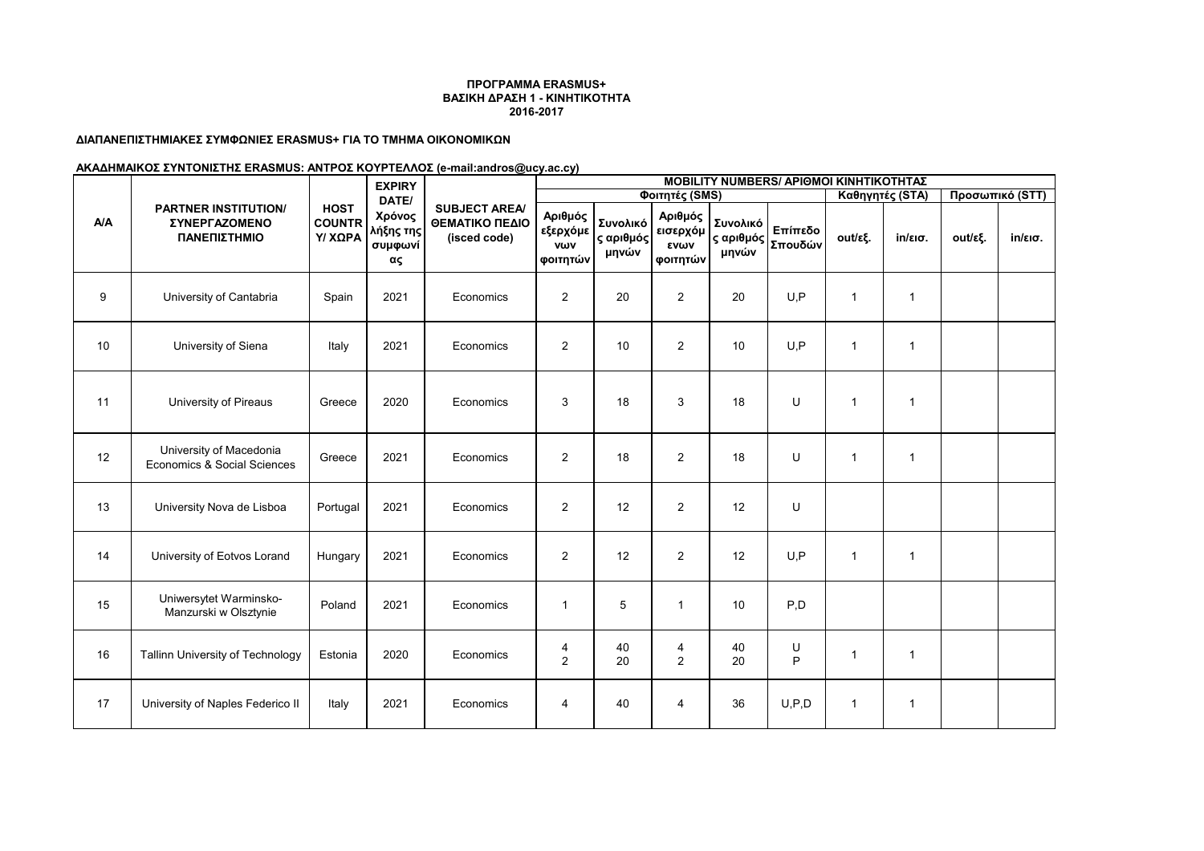## **ΔΙΑΠΑΝΕΠΙΣΤΗΜΙΑΚΕΣ ΣΥΜΦΩΝΙΕΣ ERASMUS+ ΓΙΑ ΤΟ ΤΜΗΜΑ ΟΙΚΟΝΟΜΙΚΩΝ**

|            |                                                                            | <b>HOST</b><br><b>COUNTR</b><br>Υ/ ΧΩΡΑ | <b>EXPIRY</b>                        |                                                        | <b>MOBILITY NUMBERS/ APIOMOI KINHTIKOTHTAZ</b> |                                |                                         |                   |                                                                                   |                |                   |         |                   |  |  |
|------------|----------------------------------------------------------------------------|-----------------------------------------|--------------------------------------|--------------------------------------------------------|------------------------------------------------|--------------------------------|-----------------------------------------|-------------------|-----------------------------------------------------------------------------------|----------------|-------------------|---------|-------------------|--|--|
|            |                                                                            |                                         | DATE/                                |                                                        |                                                |                                | Φοιτητές (SMS)                          |                   | Καθηγητές (STA)                                                                   |                | Προσωπικό (STT)   |         |                   |  |  |
| <b>A/A</b> | <b>PARTNER INSTITUTION/</b><br><b><i>ΣΥΝΕΡΓΑΖΟΜΕΝΟ</i></b><br>ΠΑΝΕΠΙΣΤΗΜΙΟ |                                         | Χρόνος<br>λήξης της<br>συμφωνί<br>ας | <b>SUBJECT AREA/</b><br>ΘΕΜΑΤΙΚΟ ΠΕΔΙΟ<br>(isced code) | Αριθμός<br>εξερχόμε<br>νων<br>φοιτητών         | Συνολικό<br>ς αριθμός<br>μηνών | Αριθμός<br>εισερχόμ<br>ενων<br>φοιτητών | Συνολικό<br>μηνών | Επίπεδο<br> ς αριθμός   Σπουδών <sup> </sup><br> ς αριθμός   Σπουδών <sup> </sup> | out/εξ.        | $in/\epsilon$ ισ. | out/εξ. | $in/\epsilon$ ισ. |  |  |
| 9          | University of Cantabria                                                    | Spain                                   | 2021                                 | Economics                                              | $\overline{2}$                                 | 20                             | $\overline{2}$                          | 20                | U.P                                                                               | $\mathbf{1}$   | $\overline{1}$    |         |                   |  |  |
| 10         | University of Siena                                                        | Italy                                   | 2021                                 | Economics                                              | $\overline{2}$                                 | 10                             | 2                                       | 10                | U.P                                                                               | $\overline{1}$ | -1                |         |                   |  |  |
| 11         | University of Pireaus                                                      | Greece                                  | 2020                                 | Economics                                              | 3                                              | 18                             | 3                                       | 18                | U                                                                                 | $\overline{1}$ | -1                |         |                   |  |  |
| 12         | University of Macedonia<br>Economics & Social Sciences                     | Greece                                  | 2021                                 | Economics                                              | $\overline{2}$                                 | 18                             | $\overline{2}$                          | 18                | U                                                                                 | $\mathbf{1}$   | $\overline{1}$    |         |                   |  |  |
| 13         | University Nova de Lisboa                                                  | Portugal                                | 2021                                 | Economics                                              | $\overline{2}$                                 | 12                             | $\overline{2}$                          | 12                | U                                                                                 |                |                   |         |                   |  |  |
| 14         | University of Eotvos Lorand                                                | Hungary                                 | 2021                                 | Economics                                              | $\overline{2}$                                 | 12                             | $\overline{2}$                          | 12                | U.P                                                                               | $\mathbf{1}$   | 1                 |         |                   |  |  |
| 15         | Uniwersytet Warminsko-<br>Manzurski w Olsztynie                            | Poland                                  | 2021                                 | Economics                                              | $\mathbf{1}$                                   | 5                              | $\overline{1}$                          | 10                | P, D                                                                              |                |                   |         |                   |  |  |
| 16         | Tallinn University of Technology                                           | Estonia                                 | 2020                                 | Economics                                              | 4<br>2                                         | 40<br>20                       | 4<br>2                                  | 40<br>20          | U<br>P                                                                            | $\mathbf{1}$   | 1                 |         |                   |  |  |
| 17         | University of Naples Federico II                                           | Italy                                   | 2021                                 | Economics                                              | $\overline{4}$                                 | 40                             | $\overline{4}$                          | 36                | U.P.D                                                                             | $\mathbf{1}$   | 1                 |         |                   |  |  |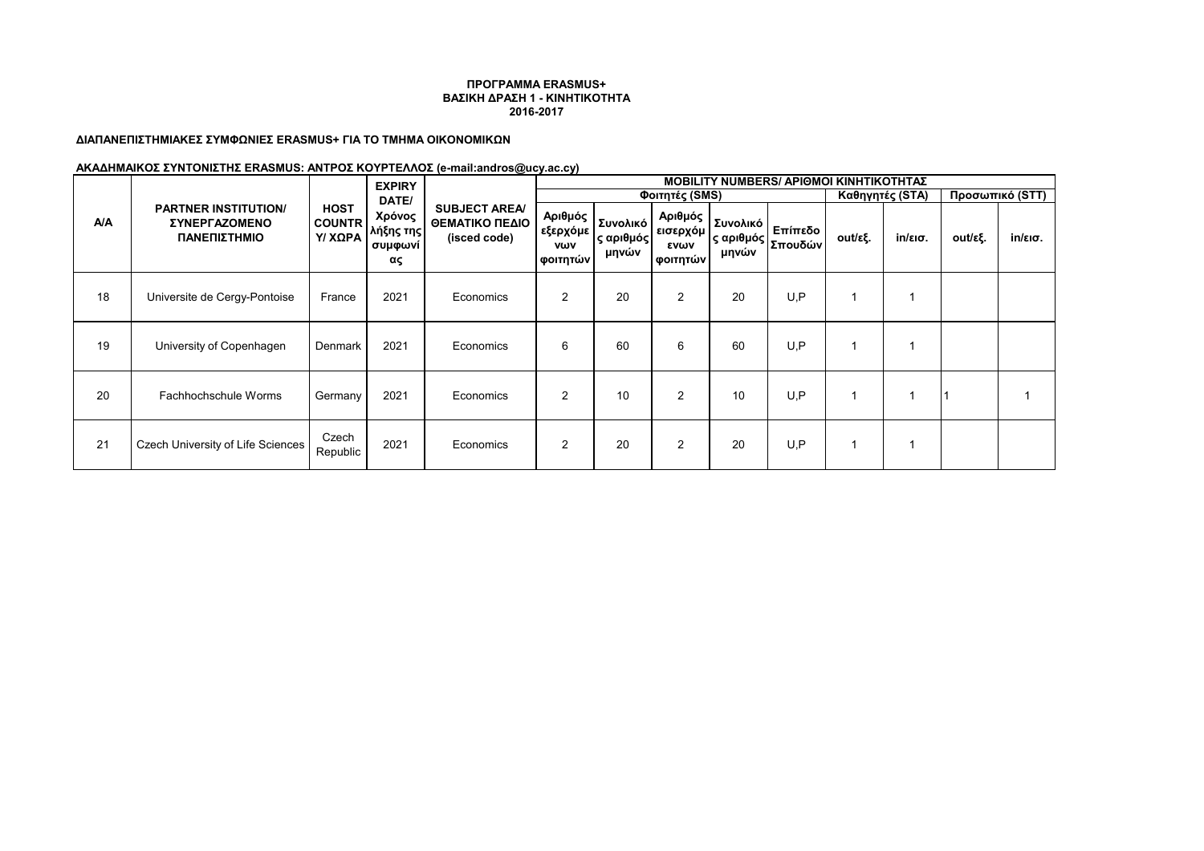## **ΔΙΑΠΑΝΕΠΙΣΤΗΜΙΑΚΕΣ ΣΥΜΦΩΝΙΕΣ ERASMUS+ ΓΙΑ ΤΟ ΤΜΗΜΑ ΟΙΚΟΝΟΜΙΚΩΝ**

|     |                                                                            | <b>HOST</b><br><b>COUNTR</b><br>Υ/ ΧΩΡΑ | <b>EXPIRY</b><br>DATE/<br>Χρόνος<br>λήξης της<br>συμφωνί<br>ας | <b>SUBJECT AREA/</b><br>ΘΕΜΑΤΙΚΟ ΠΕΔΙΟ<br>(isced code) | <b>MOBILITY NUMBERS/ APIOMOI KINHTIKOTHTAΣ</b> |                                |                                                             |                    |                    |         |                   |         |                   |  |
|-----|----------------------------------------------------------------------------|-----------------------------------------|----------------------------------------------------------------|--------------------------------------------------------|------------------------------------------------|--------------------------------|-------------------------------------------------------------|--------------------|--------------------|---------|-------------------|---------|-------------------|--|
|     |                                                                            |                                         |                                                                |                                                        |                                                |                                | Φοιτητές (SMS)                                              |                    | Καθηγητές (STA)    |         | Προσωπικό (STT)   |         |                   |  |
| A/A | <b>PARTNER INSTITUTION/</b><br><b><i>EYNEPFAZOMENO</i></b><br>ΠΑΝΕΠΙΣΤΗΜΙΟ |                                         |                                                                |                                                        | Αριθμός<br>εξερχόμε<br>νων<br>φοιτητών         | Συνολικό<br>ς αριθμός<br>μηνών | <b>Αριθμός   Συνολικό  </b><br>εισερχόμ<br>ενων<br>φοιτητών | ς αριθμός<br>μηνών | Επίπεδο<br>Σπουδών | out/εξ. | $in/\epsilon$ ισ. | out/εξ. | $in/\epsilon$ ισ. |  |
| 18  | Universite de Cergy-Pontoise                                               | France                                  | 2021                                                           | Economics                                              | $\overline{2}$                                 | 20                             | $\overline{2}$                                              | 20                 | U.P                |         |                   |         |                   |  |
| 19  | University of Copenhagen                                                   | Denmark                                 | 2021                                                           | Economics                                              | 6                                              | 60                             | 6                                                           | 60                 | U.P                |         |                   |         |                   |  |
| 20  | Fachhochschule Worms                                                       | Germany                                 | 2021                                                           | Economics                                              | $\overline{2}$                                 | 10                             | $\overline{2}$                                              | 10                 | U.P                |         |                   |         |                   |  |
| 21  | <b>Czech University of Life Sciences</b>                                   | Czech<br>Republic                       | 2021                                                           | Economics                                              | $\overline{2}$                                 | 20                             | $\overline{2}$                                              | 20                 | U.P                |         |                   |         |                   |  |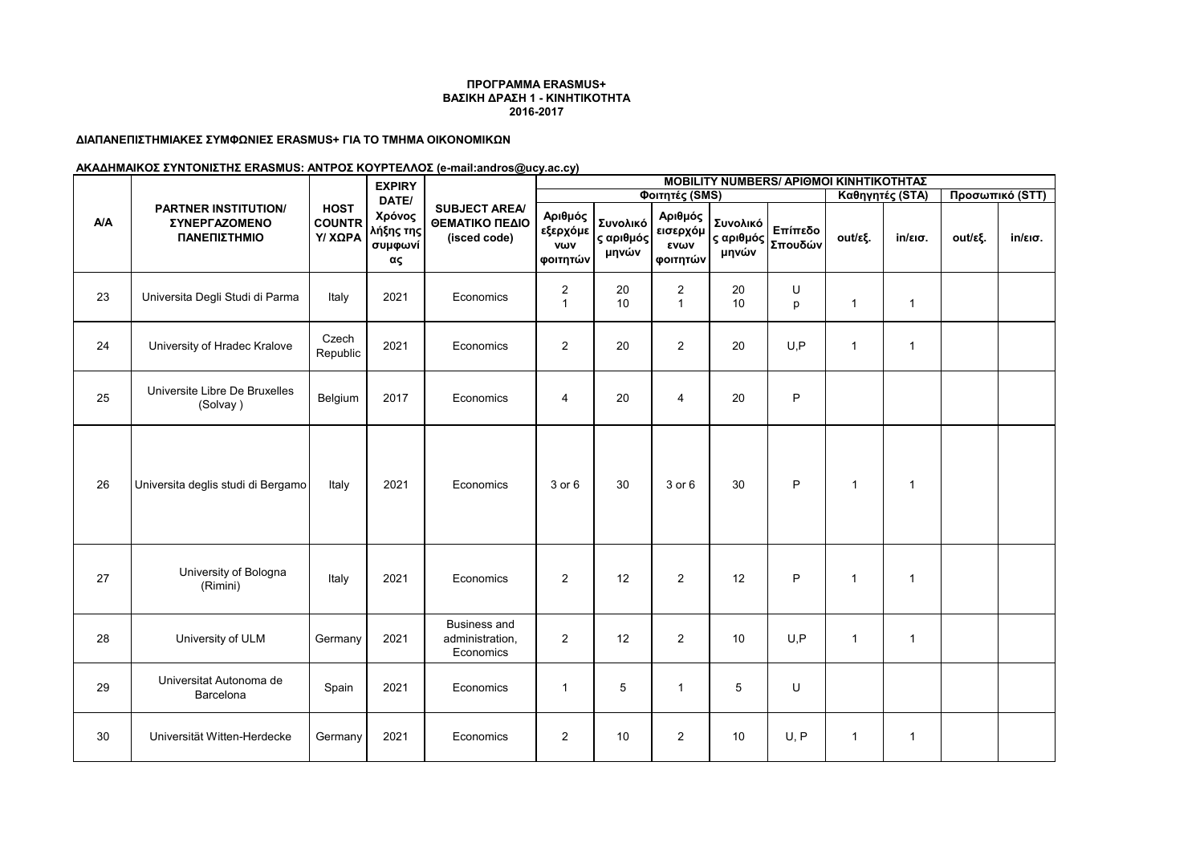## **ΔΙΑΠΑΝΕΠΙΣΤΗΜΙΑΚΕΣ ΣΥΜΦΩΝΙΕΣ ERASMUS+ ΓΙΑ ΤΟ ΤΜΗΜΑ ΟΙΚΟΝΟΜΙΚΩΝ**

|            |                                                                     |                                         | <b>EXPIRY</b>                        |                                                        |                                        |                                |                                         |                                | <b>MOBILITY NUMBERS/ APIOMOI KINHTIKOTHTAZ</b> |                 |                   |                 |                   |
|------------|---------------------------------------------------------------------|-----------------------------------------|--------------------------------------|--------------------------------------------------------|----------------------------------------|--------------------------------|-----------------------------------------|--------------------------------|------------------------------------------------|-----------------|-------------------|-----------------|-------------------|
|            | <b>PARTNER INSTITUTION/</b><br><b>ΣΥΝΕΡΓΑΖΟΜΕΝΟ</b><br>ΠΑΝΕΠΙΣΤΗΜΙΟ | <b>HOST</b><br><b>COUNTR</b><br>Υ/ ΧΩΡΑ | DATE/                                |                                                        | Φοιτητές (SMS)                         |                                |                                         |                                |                                                | Καθηγητές (STA) |                   | Προσωπικό (STT) |                   |
| <b>A/A</b> |                                                                     |                                         | Χρόνος<br>λήξης της<br>συμφωνί<br>ας | <b>SUBJECT AREA/</b><br>ΘΕΜΑΤΙΚΟ ΠΕΔΙΟ<br>(isced code) | Αριθμός<br>εξερχόμε<br>νων<br>φοιτητών | Συνολικό<br>ς αριθμός<br>μηνών | Αριθμός<br>εισερχόμ<br>ενων<br>φοιτητών | Συνολικό<br>ς αριθμός<br>μηνών | Επίπεδο<br>Σπουδών                             | out/εξ.         | $in/\epsilon$ ισ. | out/εξ.         | $in/\epsilon$ ισ. |
| 23         | Universita Degli Studi di Parma                                     | Italy                                   | 2021                                 | Economics                                              | $\overline{c}$<br>$\mathbf{1}$         | 20<br>10                       | $\overline{\mathbf{c}}$<br>$\mathbf{1}$ | 20<br>10                       | U<br>p                                         | $\mathbf{1}$    | $\mathbf{1}$      |                 |                   |
| 24         | University of Hradec Kralove                                        | Czech<br>Republic                       | 2021                                 | Economics                                              | $\overline{2}$                         | 20                             | $\overline{2}$                          | 20                             | U, P                                           | $\mathbf{1}$    | $\mathbf{1}$      |                 |                   |
| 25         | Universite Libre De Bruxelles<br>(Solvay)                           | Belgium                                 | 2017                                 | Economics                                              | $\overline{4}$                         | 20                             | 4                                       | 20                             | P                                              |                 |                   |                 |                   |
| 26         | Universita deglis studi di Bergamo                                  | Italy                                   | 2021                                 | Economics                                              | 3 or 6                                 | 30                             | 3 or 6                                  | 30                             | P                                              | $\mathbf{1}$    | $\mathbf 1$       |                 |                   |
| 27         | University of Bologna<br>(Rimini)                                   | Italy                                   | 2021                                 | Economics                                              | $\overline{2}$                         | 12                             | $\overline{2}$                          | 12                             | P                                              | $\mathbf{1}$    | $\mathbf{1}$      |                 |                   |
| 28         | University of ULM                                                   | Germany                                 | 2021                                 | Business and<br>administration,<br>Economics           | 2                                      | 12                             | $\overline{2}$                          | 10                             | U.P                                            | $\mathbf{1}$    | $\mathbf{1}$      |                 |                   |
| 29         | Universitat Autonoma de<br>Barcelona                                | Spain                                   | 2021                                 | Economics                                              | $\mathbf{1}$                           | 5                              | $\mathbf{1}$                            | 5                              | U                                              |                 |                   |                 |                   |
| 30         | Universität Witten-Herdecke                                         | Germany                                 | 2021                                 | Economics                                              | $\overline{2}$                         | 10                             | $\overline{2}$                          | 10                             | U, P                                           | $\mathbf{1}$    | $\mathbf{1}$      |                 |                   |